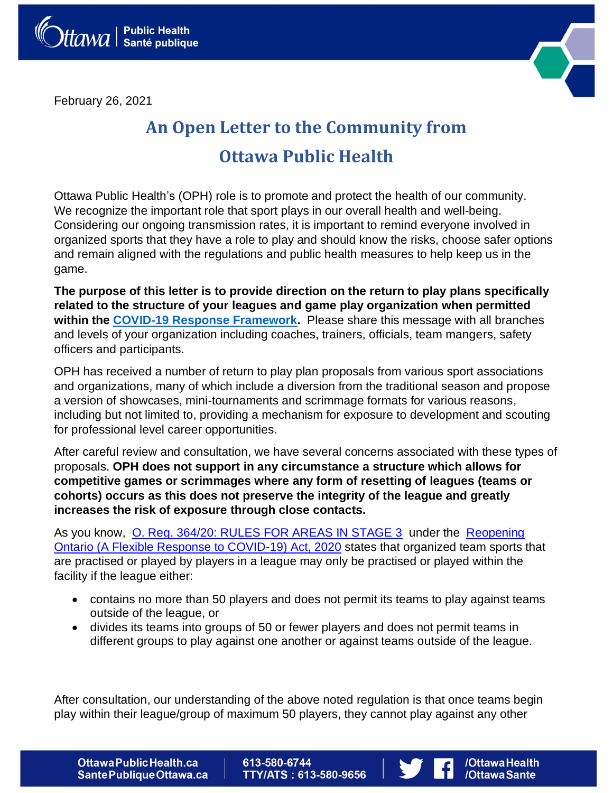February 26, 2021



## **An Open Letter to the Community from Ottawa Public Health**

Ottawa Public Health's (OPH) role is to promote and protect the health of our community. We recognize the important role that sport plays in our overall health and well-being. Considering our ongoing transmission rates, it is important to remind everyone involved in organized sports that they have a role to play and should know the risks, choose safer options and remain aligned with the regulations and public health measures to help keep us in the game.

**The purpose of this letter is to provide direction on the return to play plans specifically related to the structure of your leagues and game play organization when permitted within the COVID-19 Response Framework.** Please share this message with all branches and levels of your organization including coaches, trainers, officials, team mangers, safety officers and participants.

OPH has received a number of return to play plan proposals from various sport associations and organizations, many of which include a diversion from the traditional season and propose a version of showcases, mini-tournaments and scrimmage formats for various reasons, including but not limited to, providing a mechanism for exposure to development and scouting for professional level career opportunities.

After careful review and consultation, we have several concerns associated with these types of proposals. **OPH does not support in any circumstance a structure which allows for competitive games or scrimmages where any form of resetting of leagues (teams or cohorts) occurs as this does not preserve the integrity of the league and greatly increases the risk of exposure through close contacts.**

As you know, O. Reg. 364/20: RULES FOR AREAS IN STAGE 3 under the Reopening Ontario (A Flexible Response to COVID-19) Act, 2020 states that organized team sports that are practised or played by players in a league may only be practised or played within the facility if the league either:

- contains no more than 50 players and does not permit its teams to play against teams outside of the league, or
- divides its teams into groups of 50 or fewer players and does not permit teams in different groups to play against one another or against teams outside of the league.

After consultation, our understanding of the above noted regulation is that once teams begin play within their league/group of maximum 50 players, they cannot play against any other

**Ottawa Public Health.ca** Sante Publique Ottawa.ca 613-580-6744 **TTY/ATS: 613-580-9656** 



/Ottawa Health /OttawaSante